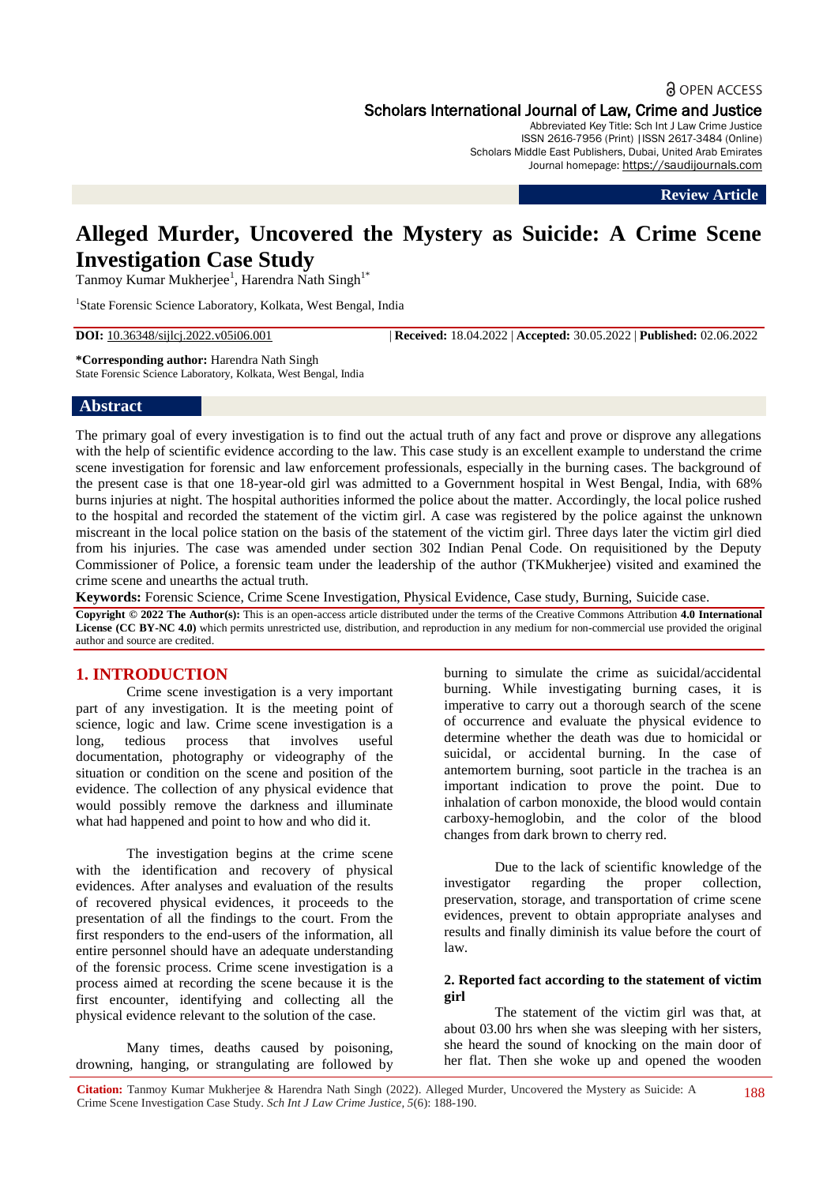# **a** OPEN ACCESS

Scholars International Journal of Law, Crime and Justice

Abbreviated Key Title: Sch Int J Law Crime Justice ISSN 2616-7956 (Print) |ISSN 2617-3484 (Online) Scholars Middle East Publishers, Dubai, United Arab Emirates Journal homepage: https://saudijournals.com

**Review Article**

# **Alleged Murder, Uncovered the Mystery as Suicide: A Crime Scene Investigation Case Study**

Tanmoy Kumar Mukherjee<sup>1</sup>, Harendra Nath Singh<sup>1\*</sup>

<sup>1</sup>State Forensic Science Laboratory, Kolkata, West Bengal, India

**DOI:** 10.36348/sijlcj.2022.v05i06.001 | **Received:** 18.04.2022 | **Accepted:** 30.05.2022 | **Published:** 02.06.2022

**\*Corresponding author:** Harendra Nath Singh State Forensic Science Laboratory, Kolkata, West Bengal, India

### **Abstract**

The primary goal of every investigation is to find out the actual truth of any fact and prove or disprove any allegations with the help of scientific evidence according to the law. This case study is an excellent example to understand the crime scene investigation for forensic and law enforcement professionals, especially in the burning cases. The background of the present case is that one 18-year-old girl was admitted to a Government hospital in West Bengal, India, with 68% burns injuries at night. The hospital authorities informed the police about the matter. Accordingly, the local police rushed to the hospital and recorded the statement of the victim girl. A case was registered by the police against the unknown miscreant in the local police station on the basis of the statement of the victim girl. Three days later the victim girl died from his injuries. The case was amended under section 302 Indian Penal Code. On requisitioned by the Deputy Commissioner of Police, a forensic team under the leadership of the author (TKMukherjee) visited and examined the crime scene and unearths the actual truth.

**Keywords:** Forensic Science, Crime Scene Investigation, Physical Evidence, Case study, Burning, Suicide case.

**Copyright © 2022 The Author(s):** This is an open-access article distributed under the terms of the Creative Commons Attribution **4.0 International License (CC BY-NC 4.0)** which permits unrestricted use, distribution, and reproduction in any medium for non-commercial use provided the original author and source are credited.

# **1. INTRODUCTION**

Crime scene investigation is a very important part of any investigation. It is the meeting point of science, logic and law. Crime scene investigation is a long, tedious process that involves useful documentation, photography or videography of the situation or condition on the scene and position of the evidence. The collection of any physical evidence that would possibly remove the darkness and illuminate what had happened and point to how and who did it.

The investigation begins at the crime scene with the identification and recovery of physical evidences. After analyses and evaluation of the results of recovered physical evidences, it proceeds to the presentation of all the findings to the court. From the first responders to the end-users of the information, all entire personnel should have an adequate understanding of the forensic process. Crime scene investigation is a process aimed at recording the scene because it is the first encounter, identifying and collecting all the physical evidence relevant to the solution of the case.

Many times, deaths caused by poisoning, drowning, hanging, or strangulating are followed by burning to simulate the crime as suicidal/accidental burning. While investigating burning cases, it is imperative to carry out a thorough search of the scene of occurrence and evaluate the physical evidence to determine whether the death was due to homicidal or suicidal, or accidental burning. In the case of antemortem burning, soot particle in the trachea is an important indication to prove the point. Due to inhalation of carbon monoxide, the blood would contain carboxy-hemoglobin, and the color of the blood changes from dark brown to cherry red.

Due to the lack of scientific knowledge of the investigator regarding the proper collection, preservation, storage, and transportation of crime scene evidences, prevent to obtain appropriate analyses and results and finally diminish its value before the court of law.

#### **2. Reported fact according to the statement of victim girl**

The statement of the victim girl was that, at about 03.00 hrs when she was sleeping with her sisters, she heard the sound of knocking on the main door of her flat. Then she woke up and opened the wooden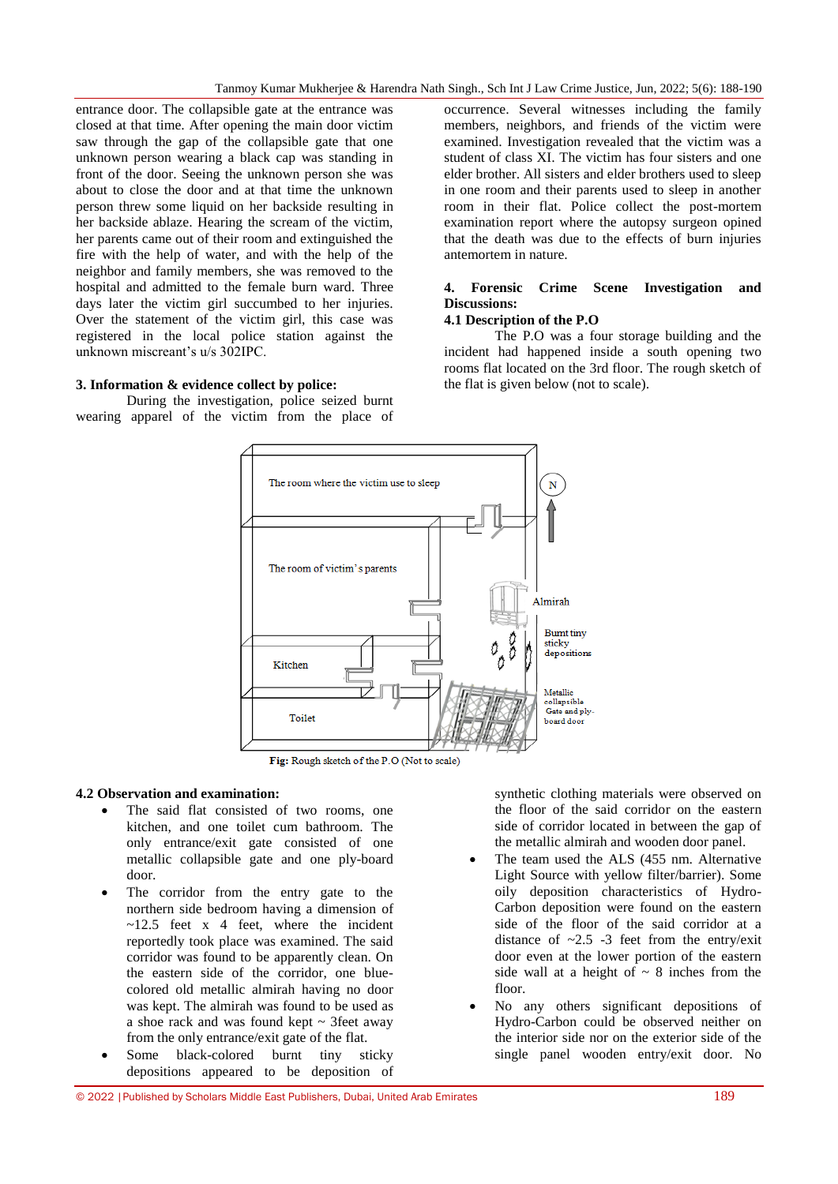entrance door. The collapsible gate at the entrance was closed at that time. After opening the main door victim saw through the gap of the collapsible gate that one unknown person wearing a black cap was standing in front of the door. Seeing the unknown person she was about to close the door and at that time the unknown person threw some liquid on her backside resulting in her backside ablaze. Hearing the scream of the victim, her parents came out of their room and extinguished the fire with the help of water, and with the help of the neighbor and family members, she was removed to the hospital and admitted to the female burn ward. Three days later the victim girl succumbed to her injuries. Over the statement of the victim girl, this case was registered in the local police station against the unknown miscreant's u/s 302IPC.

# **3. Information & evidence collect by police:**

During the investigation, police seized burnt wearing apparel of the victim from the place of occurrence. Several witnesses including the family members, neighbors, and friends of the victim were examined. Investigation revealed that the victim was a student of class XI. The victim has four sisters and one elder brother. All sisters and elder brothers used to sleep in one room and their parents used to sleep in another room in their flat. Police collect the post-mortem examination report where the autopsy surgeon opined that the death was due to the effects of burn injuries antemortem in nature.

### **4. Forensic Crime Scene Investigation and Discussions:**

# **4.1 Description of the P.O**

The P.O was a four storage building and the incident had happened inside a south opening two rooms flat located on the 3rd floor. The rough sketch of the flat is given below (not to scale).



Fig: Rough sketch of the P.O (Not to scale)

### **4.2 Observation and examination:**

- The said flat consisted of two rooms, one kitchen, and one toilet cum bathroom. The only entrance/exit gate consisted of one metallic collapsible gate and one ply-board door.
- The corridor from the entry gate to the northern side bedroom having a dimension of  $\sim$ 12.5 feet x 4 feet, where the incident reportedly took place was examined. The said corridor was found to be apparently clean. On the eastern side of the corridor, one bluecolored old metallic almirah having no door was kept. The almirah was found to be used as a shoe rack and was found kept  $\sim$  3feet away from the only entrance/exit gate of the flat.
- Some black-colored burnt tiny sticky depositions appeared to be deposition of

synthetic clothing materials were observed on the floor of the said corridor on the eastern side of corridor located in between the gap of the metallic almirah and wooden door panel.

- The team used the ALS (455 nm. Alternative Light Source with yellow filter/barrier). Some oily deposition characteristics of Hydro-Carbon deposition were found on the eastern side of the floor of the said corridor at a distance of  $\sim$ 2.5 -3 feet from the entry/exit door even at the lower portion of the eastern side wall at a height of  $\sim$  8 inches from the floor.
- No any others significant depositions of Hydro-Carbon could be observed neither on the interior side nor on the exterior side of the single panel wooden entry/exit door. No